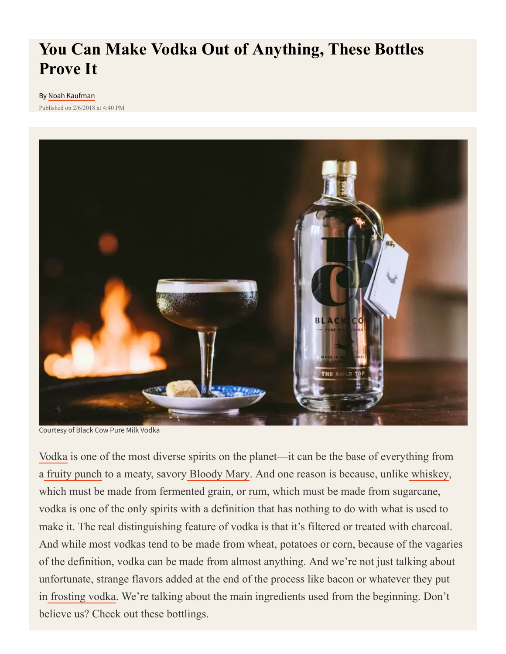# **You Can Make Vodka Out of Anything, These Bottles Prove It**

#### By [Noah Kaufman](https://www.thrillist.com/authors/noah-kaufman)

Published on 2/6/2018 at 4:40 PM



Courtesy of Black Cow Pure Milk Vodka

[Vodka](https://www.supercall.com/spirits/vodka/vodka-101) is one of the most diverse spirits on the planet—it can be the base of everything from a [fruity punch](https://www.supercall.com/recipe/this-cheap-and-very-simple-jungle-juice-recipe-is-amazing) to a meaty, savory [Bloody Mary.](https://www.supercall.com/recipe/bloody-mary) And one reason is because, unlike [whiskey](https://www.supercall.com/spirits/whiskey/whiskey-101), which must be made from fermented grain, or [rum](https://www.supercall.com/spirits/rum/rum-101), which must be made from sugarcane, vodka is one of the only spirits with a definition that has nothing to do with what is used to make it. The real distinguishing feature of vodka is that it's filtered or treated with charcoal. And while most vodkas tend to be made from wheat, potatoes or corn, because of the vagaries of the definition, vodka can be made from almost anything. And we're not just talking about unfortunate, strange flavors added at the end of the process like bacon or whatever they put in [frosting vodka](https://www.supercall.com/culture/craziest-flavored-vodka-brands). We're talking about the main ingredients used from the beginning. Don't believe us? Check out these bottlings.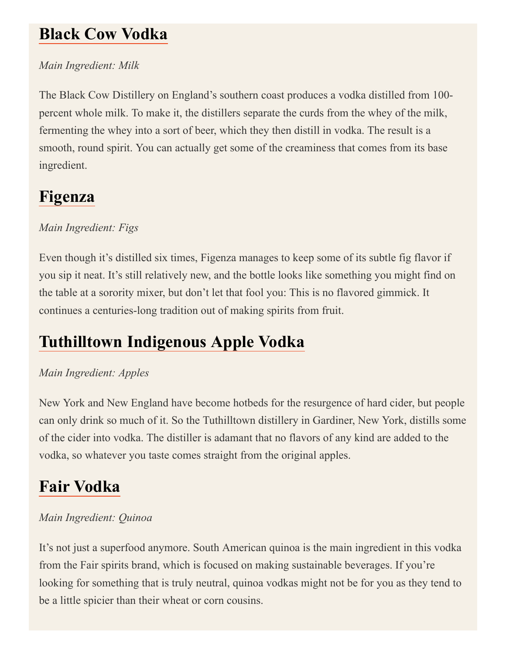### **[Black Cow Vodka](https://www.supercall.com/news/black-cow-pure-milk-vodka-comes-to-the-united-states)**

#### *Main Ingredient: Milk*

The Black Cow Distillery on England's southern coast produces a vodka distilled from 100 percent whole milk. To make it, the distillers separate the curds from the whey of the milk, fermenting the whey into a sort of beer, which they then distill in vodka. The result is a smooth, round spirit. You can actually get some of the creaminess that comes from its base ingredient.

## **[Figenza](http://figenza.com/)**

### *Main Ingredient: Figs*

Even though it's distilled six times, Figenza manages to keep some of its subtle fig flavor if you sip it neat. It's still relatively new, and the bottle looks like something you might find on the table at a sorority mixer, but don't let that fool you: This is no flavored gimmick. It continues a centuries-long tradition out of making spirits from fruit.

# **[Tuthilltown Indigenous Apple Vodka](http://www.tuthilltown.com/tuthilltown-spirits/indigenous-fresh-pressed-apple-vodka/)**

#### *Main Ingredient: Apples*

New York and New England have become hotbeds for the resurgence of hard cider, but people can only drink so much of it. So the Tuthilltown distillery in Gardiner, New York, distills some of the cider into vodka. The distiller is adamant that no flavors of any kind are added to the vodka, so whatever you taste comes straight from the original apples.

## **[Fair Vodka](http://www.fair-drinks.com/)**

#### *Main Ingredient: Quinoa*

It's not just a superfood anymore. South American quinoa is the main ingredient in this vodka from the Fair spirits brand, which is focused on making sustainable beverages. If you're looking for something that is truly neutral, quinoa vodkas might not be for you as they tend to be a little spicier than their wheat or corn cousins.